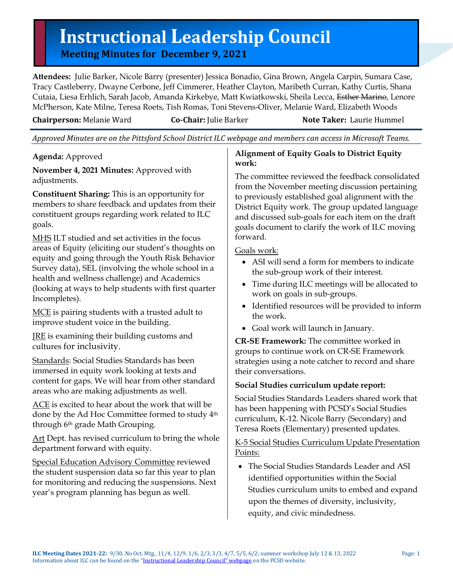# **Instructional Leadership Council**<br>
Meeting Minutes for December 9, 2021

**Attendees:** Julie Barker, Nicole Barry (presenter) Jessica Bonadio, Gina Brown, Angela Carpin, Sumara Case, Tracy Castleberry, Dwayne Cerbone, Jeff Cimmerer, Heather Clayton, Maribeth Curran, Kathy Curtis, Shana Cutaia, Liesa Erhlich, Sarah Jacob, Amanda Kirkebye, Matt Kwiatkowski, Sheila Lecca, Esther Marino, Lenore McPherson, Kate Milne, Teresa Roets, Tish Romas, Toni Stevens-Oliver, Melanie Ward, Elizabeth Woods

**Chairperson:** Melanie Ward **Co-Chair:** Julie Barker **Note Taker:** Laurie Hummel

*Approved Minutes are on the Pittsford School District ILC webpage and members can access in Microsoft Teams.*

**Agenda:** Approved

**November 4, 2021 Minutes:** Approved with adjustments.

**Constituent Sharing:** This is an opportunity for members to share feedback and updates from their constituent groups regarding work related to ILC goals.

MHS ILT studied and set activities in the focus areas of Equity (eliciting our student's thoughts on equity and going through the Youth Risk Behavior Survey data), SEL (involving the whole school in a health and wellness challenge) and Academics (looking at ways to help students with first quarter Incompletes).

MCE is pairing students with a trusted adult to improve student voice in the building.

JRE is examining their building customs and cultures for inclusivity.

Standards: Social Studies Standards has been immersed in equity work looking at texts and content for gaps. We will hear from other standard areas who are making adjustments as well.

ACE is excited to hear about the work that will be done by the Ad Hoc Committee formed to study 4th through 6th grade Math Grouping.

Art Dept. has revised curriculum to bring the whole department forward with equity.

Special Education Advisory Committee reviewed the student suspension data so far this year to plan for monitoring and reducing the suspensions. Next year's program planning has begun as well.

## **Alignment of Equity Goals to District Equity work:**

The committee reviewed the feedback consolidated from the November meeting discussion pertaining to previously established goal alignment with the District Equity work. The group updated language and discussed sub-goals for each item on the draft goals document to clarify the work of ILC moving forward.

# Goals work:

- ASI will send a form for members to indicate the sub-group work of their interest.
- Time during ILC meetings will be allocated to work on goals in sub-groups.
- Identified resources will be provided to inform the work.
- Goal work will launch in January.

**CR-SE Framework:** The committee worked in groups to continue work on CR-SE Framework strategies using a note catcher to record and share their conversations.

# **Social Studies curriculum update report:**

Social Studies Standards Leaders shared work that has been happening with PCSD's Social Studies curriculum, K-12. Nicole Barry (Secondary) and Teresa Roets (Elementary) presented updates.

K-5 Social Studies Curriculum Update Presentation Points:

• The Social Studies Standards Leader and ASI identified opportunities within the Social Studies curriculum units to embed and expand upon the themes of diversity, inclusivity, equity, and civic mindedness.